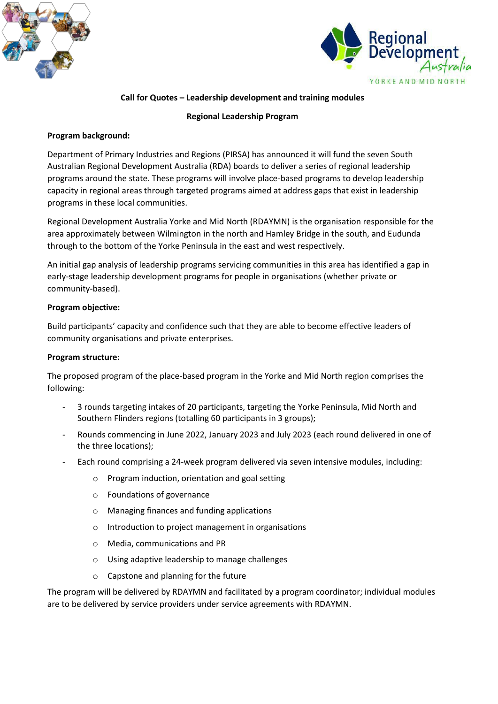



# **Call for Quotes – Leadership development and training modules**

# **Regional Leadership Program**

# **Program background:**

Department of Primary Industries and Regions (PIRSA) has announced it will fund the seven South Australian Regional Development Australia (RDA) boards to deliver a series of regional leadership programs around the state. These programs will involve place-based programs to develop leadership capacity in regional areas through targeted programs aimed at address gaps that exist in leadership programs in these local communities.

Regional Development Australia Yorke and Mid North (RDAYMN) is the organisation responsible for the area approximately between Wilmington in the north and Hamley Bridge in the south, and Eudunda through to the bottom of the Yorke Peninsula in the east and west respectively.

An initial gap analysis of leadership programs servicing communities in this area has identified a gap in early-stage leadership development programs for people in organisations (whether private or community-based).

# **Program objective:**

Build participants' capacity and confidence such that they are able to become effective leaders of community organisations and private enterprises.

# **Program structure:**

The proposed program of the place-based program in the Yorke and Mid North region comprises the following:

- 3 rounds targeting intakes of 20 participants, targeting the Yorke Peninsula, Mid North and Southern Flinders regions (totalling 60 participants in 3 groups);
- Rounds commencing in June 2022, January 2023 and July 2023 (each round delivered in one of the three locations);
- Each round comprising a 24-week program delivered via seven intensive modules, including:
	- o Program induction, orientation and goal setting
	- o Foundations of governance
	- o Managing finances and funding applications
	- o Introduction to project management in organisations
	- o Media, communications and PR
	- o Using adaptive leadership to manage challenges
	- o Capstone and planning for the future

The program will be delivered by RDAYMN and facilitated by a program coordinator; individual modules are to be delivered by service providers under service agreements with RDAYMN.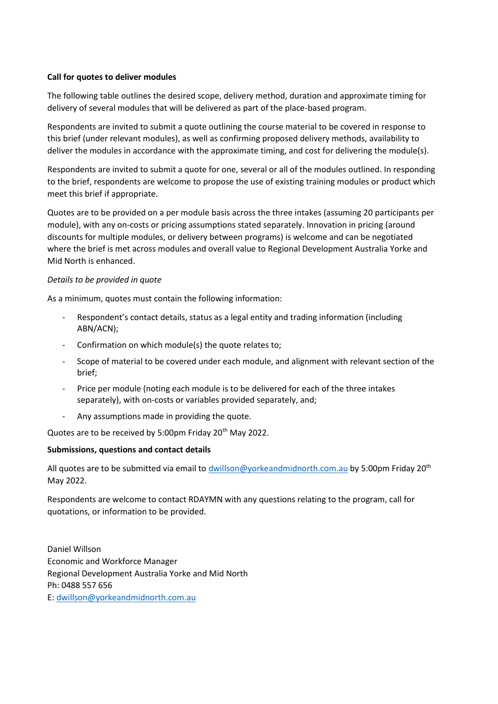# **Call for quotes to deliver modules**

The following table outlines the desired scope, delivery method, duration and approximate timing for delivery of several modules that will be delivered as part of the place-based program.

Respondents are invited to submit a quote outlining the course material to be covered in response to this brief (under relevant modules), as well as confirming proposed delivery methods, availability to deliver the modules in accordance with the approximate timing, and cost for delivering the module(s).

Respondents are invited to submit a quote for one, several or all of the modules outlined. In responding to the brief, respondents are welcome to propose the use of existing training modules or product which meet this brief if appropriate.

Quotes are to be provided on a per module basis across the three intakes (assuming 20 participants per module), with any on-costs or pricing assumptions stated separately. Innovation in pricing (around discounts for multiple modules, or delivery between programs) is welcome and can be negotiated where the brief is met across modules and overall value to Regional Development Australia Yorke and Mid North is enhanced.

# *Details to be provided in quote*

As a minimum, quotes must contain the following information:

- Respondent's contact details, status as a legal entity and trading information (including ABN/ACN);
- Confirmation on which module(s) the quote relates to;
- Scope of material to be covered under each module, and alignment with relevant section of the brief;
- Price per module (noting each module is to be delivered for each of the three intakes separately), with on-costs or variables provided separately, and;
- Any assumptions made in providing the quote.

Quotes are to be received by 5:00pm Friday 20<sup>th</sup> May 2022.

# **Submissions, questions and contact details**

All quotes are to be submitted via email to [dwillson@yorkeandmidnorth.com.au](mailto:dwillson@yorkeandmidnorth.com.au) by 5:00pm Friday 20<sup>th</sup> May 2022.

Respondents are welcome to contact RDAYMN with any questions relating to the program, call for quotations, or information to be provided.

Daniel Willson Economic and Workforce Manager Regional Development Australia Yorke and Mid North Ph: 0488 557 656 E: [dwillson@yorkeandmidnorth.com.au](mailto:dwillson@yorkeandmidnorth.com.au)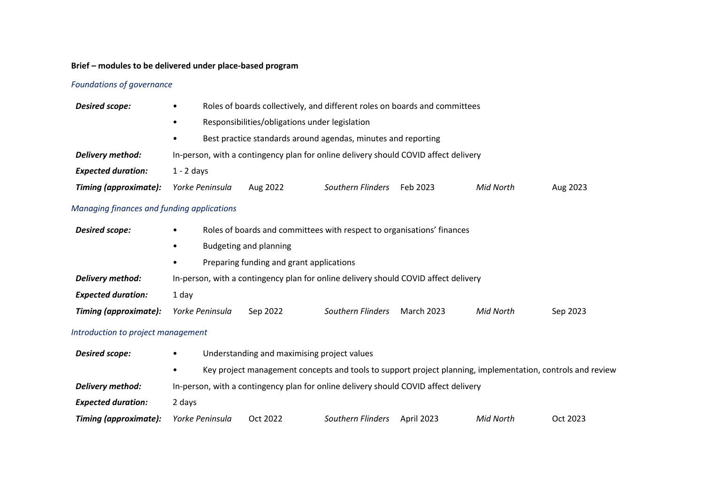# **Brief – modules to be delivered under place-based program**

# *Foundations of governance*

| <b>Desired scope:</b>                      | Roles of boards collectively, and different roles on boards and committees                                      |          |                          |                   |           |          |  |  |
|--------------------------------------------|-----------------------------------------------------------------------------------------------------------------|----------|--------------------------|-------------------|-----------|----------|--|--|
|                                            | Responsibilities/obligations under legislation                                                                  |          |                          |                   |           |          |  |  |
|                                            | Best practice standards around agendas, minutes and reporting<br>٠                                              |          |                          |                   |           |          |  |  |
| Delivery method:                           | In-person, with a contingency plan for online delivery should COVID affect delivery                             |          |                          |                   |           |          |  |  |
| <b>Expected duration:</b>                  | $1 - 2$ days                                                                                                    |          |                          |                   |           |          |  |  |
| Timing (approximate):                      | Yorke Peninsula                                                                                                 | Aug 2022 | <b>Southern Flinders</b> | Feb 2023          | Mid North | Aug 2023 |  |  |
| Managing finances and funding applications |                                                                                                                 |          |                          |                   |           |          |  |  |
| <b>Desired scope:</b>                      | Roles of boards and committees with respect to organisations' finances                                          |          |                          |                   |           |          |  |  |
|                                            | <b>Budgeting and planning</b><br>٠                                                                              |          |                          |                   |           |          |  |  |
|                                            | Preparing funding and grant applications                                                                        |          |                          |                   |           |          |  |  |
| Delivery method:                           | In-person, with a contingency plan for online delivery should COVID affect delivery                             |          |                          |                   |           |          |  |  |
| <b>Expected duration:</b>                  | 1 day                                                                                                           |          |                          |                   |           |          |  |  |
| Timing (approximate):                      | Yorke Peninsula                                                                                                 | Sep 2022 | Southern Flinders        | <b>March 2023</b> | Mid North | Sep 2023 |  |  |
| Introduction to project management         |                                                                                                                 |          |                          |                   |           |          |  |  |
| <b>Desired scope:</b>                      | Understanding and maximising project values                                                                     |          |                          |                   |           |          |  |  |
|                                            | Key project management concepts and tools to support project planning, implementation, controls and review<br>٠ |          |                          |                   |           |          |  |  |
| Delivery method:                           | In-person, with a contingency plan for online delivery should COVID affect delivery                             |          |                          |                   |           |          |  |  |
| <b>Expected duration:</b>                  | 2 days                                                                                                          |          |                          |                   |           |          |  |  |
| Timing (approximate):                      | Yorke Peninsula                                                                                                 | Oct 2022 | Southern Flinders        | April 2023        | Mid North | Oct 2023 |  |  |